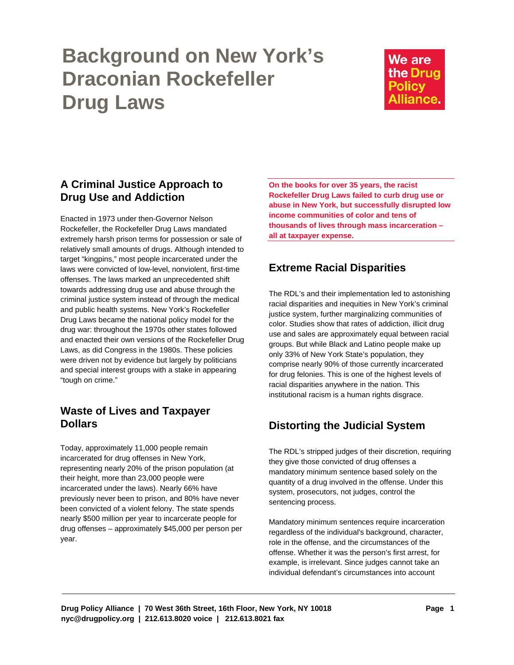# **Background on New York's Draconian Rockefeller Drug Laws**

We are the Drug **Policy** Alliance.

## **A Criminal Justice Approach to Drug Use and Addiction**

Enacted in 1973 under then-Governor Nelson Rockefeller, the Rockefeller Drug Laws mandated extremely harsh prison terms for possession or sale of relatively small amounts of drugs. Although intended to target "kingpins," most people incarcerated under the laws were convicted of low-level, nonviolent, first-time offenses. The laws marked an unprecedented shift towards addressing drug use and abuse through the criminal justice system instead of through the medical and public health systems. New York's Rockefeller Drug Laws became the national policy model for the drug war: throughout the 1970s other states followed and enacted their own versions of the Rockefeller Drug Laws, as did Congress in the 1980s. These policies were driven not by evidence but largely by politicians and special interest groups with a stake in appearing "tough on crime."

## **Waste of Lives and Taxpayer Dollars**

Today, approximately 11,000 people remain incarcerated for drug offenses in New York, representing nearly 20% of the prison population (at their height, more than 23,000 people were incarcerated under the laws). Nearly 66% have previously never been to prison, and 80% have never been convicted of a violent felony. The state spends nearly \$500 million per year to incarcerate people for drug offenses – approximately \$45,000 per person per year.

**On the books for over 35 years, the racist Rockefeller Drug Laws failed to curb drug use or abuse in New York, but successfully disrupted low income communities of color and tens of thousands of lives through mass incarceration – all at taxpayer expense.** 

# **Extreme Racial Disparities**

The RDL's and their implementation led to astonishing racial disparities and inequities in New York's criminal justice system, further marginalizing communities of color. Studies show that rates of addiction, illicit drug use and sales are approximately equal between racial groups. But while Black and Latino people make up only 33% of New York State's population, they comprise nearly 90% of those currently incarcerated for drug felonies. This is one of the highest levels of racial disparities anywhere in the nation. This institutional racism is a human rights disgrace.

# **Distorting the Judicial System**

The RDL's stripped judges of their discretion, requiring they give those convicted of drug offenses a mandatory minimum sentence based solely on the quantity of a drug involved in the offense. Under this system, prosecutors, not judges, control the sentencing process.

Mandatory minimum sentences require incarceration regardless of the individual's background, character, role in the offense, and the circumstances of the offense. Whether it was the person's first arrest, for example, is irrelevant. Since judges cannot take an individual defendant's circumstances into account